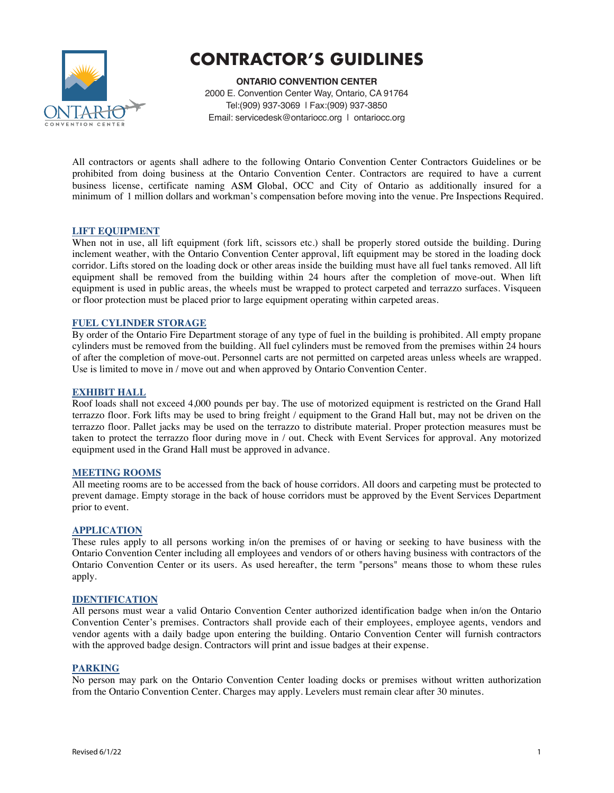

# **CONTRACTOR'S GUIDLINES**

**ONTARIO CONVENTION CENTER** 2000 E. Convention Center Way, Ontario, CA 91764 Tel:(909) 937-3069 | Fax:(909) 937-3850 Email: servicedesk@ontariocc.org | ontariocc.org

All contractors or agents shall adhere to the following Ontario Convention Center Contractors Guidelines or be prohibited from doing business at the Ontario Convention Center. Contractors are required to have a current business license, certificate naming ASM Global, OCC and City of Ontario as additionally insured for a minimum of 1 million dollars and workman's compensation before moving into the venue. Pre Inspections Required.

# **LIFT EQUIPMENT**

When not in use, all lift equipment (fork lift, scissors etc.) shall be properly stored outside the building. During inclement weather, with the Ontario Convention Center approval, lift equipment may be stored in the loading dock corridor. Lifts stored on the loading dock or other areas inside the building must have all fuel tanks removed. All lift equipment shall be removed from the building within 24 hours after the completion of move-out. When lift equipment is used in public areas, the wheels must be wrapped to protect carpeted and terrazzo surfaces. Visqueen or floor protection must be placed prior to large equipment operating within carpeted areas.

## **FUEL CYLINDER STORAGE**

By order of the Ontario Fire Department storage of any type of fuel in the building is prohibited. All empty propane cylinders must be removed from the building. All fuel cylinders must be removed from the premises within 24 hours of after the completion of move-out. Personnel carts are not permitted on carpeted areas unless wheels are wrapped. Use is limited to move in / move out and when approved by Ontario Convention Center.

## **EXHIBIT HALL**

Roof loads shall not exceed 4,000 pounds per bay. The use of motorized equipment is restricted on the Grand Hall terrazzo floor. Fork lifts may be used to bring freight / equipment to the Grand Hall but, may not be driven on the terrazzo floor. Pallet jacks may be used on the terrazzo to distribute material. Proper protection measures must be taken to protect the terrazzo floor during move in / out. Check with Event Services for approval. Any motorized equipment used in the Grand Hall must be approved in advance.

## **MEETING ROOMS**

All meeting rooms are to be accessed from the back of house corridors. All doors and carpeting must be protected to prevent damage. Empty storage in the back of house corridors must be approved by the Event Services Department prior to event.

## **APPLICATION**

These rules apply to all persons working in/on the premises of or having or seeking to have business with the Ontario Convention Center including all employees and vendors of or others having business with contractors of the Ontario Convention Center or its users. As used hereafter, the term "persons" means those to whom these rules apply.

## **IDENTIFICATION**

All persons must wear a valid Ontario Convention Center authorized identification badge when in/on the Ontario Convention Center's premises. Contractors shall provide each of their employees, employee agents, vendors and vendor agents with a daily badge upon entering the building. Ontario Convention Center will furnish contractors with the approved badge design. Contractors will print and issue badges at their expense.

## **PARKING**

No person may park on the Ontario Convention Center loading docks or premises without written authorization from the Ontario Convention Center. Charges may apply. Levelers must remain clear after 30 minutes.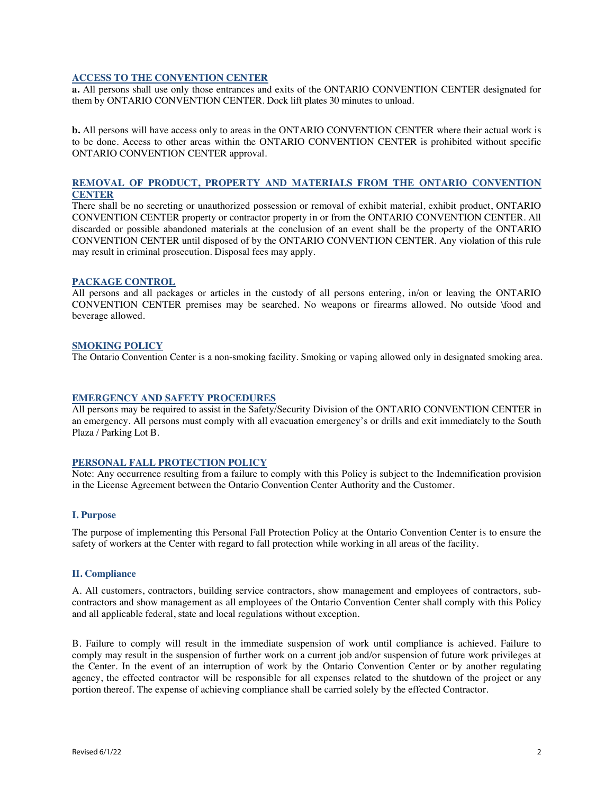# **ACCESS TO THE CONVENTION CENTER**

**a.** All persons shall use only those entrances and exits of the ONTARIO CONVENTION CENTER designated for them by ONTARIO CONVENTION CENTER. Dock lift plates 30 minutes to unload.

**b.** All persons will have access only to areas in the ONTARIO CONVENTION CENTER where their actual work is to be done. Access to other areas within the ONTARIO CONVENTION CENTER is prohibited without specific ONTARIO CONVENTION CENTER approval.

# **REMOVAL OF PRODUCT, PROPERTY AND MATERIALS FROM THE ONTARIO CONVENTION CENTER**

There shall be no secreting or unauthorized possession or removal of exhibit material, exhibit product, ONTARIO CONVENTION CENTER property or contractor property in or from the ONTARIO CONVENTION CENTER. All discarded or possible abandoned materials at the conclusion of an event shall be the property of the ONTARIO CONVENTION CENTER until disposed of by the ONTARIO CONVENTION CENTER. Any violation of this rule may result in criminal prosecution. Disposal fees may apply.

## **PACKAGE CONTROL**

All persons and all packages or articles in the custody of all persons entering, in/on or leaving the ONTARIO CONVENTION CENTER premises may be searched. No weapons or firearms allowed. No outside \food and beverage allowed.

## **SMOKING POLICY**

The Ontario Convention Center is a non-smoking facility. Smoking or vaping allowed only in designated smoking area.

# **EMERGENCY AND SAFETY PROCEDURES**

All persons may be required to assist in the Safety/Security Division of the ONTARIO CONVENTION CENTER in an emergency. All persons must comply with all evacuation emergency's or drills and exit immediately to the South Plaza / Parking Lot B.

## **PERSONAL FALL PROTECTION POLICY**

Note: Any occurrence resulting from a failure to comply with this Policy is subject to the Indemnification provision in the License Agreement between the Ontario Convention Center Authority and the Customer.

## **I. Purpose**

The purpose of implementing this Personal Fall Protection Policy at the Ontario Convention Center is to ensure the safety of workers at the Center with regard to fall protection while working in all areas of the facility.

## **II. Compliance**

A. All customers, contractors, building service contractors, show management and employees of contractors, subcontractors and show management as all employees of the Ontario Convention Center shall comply with this Policy and all applicable federal, state and local regulations without exception.

B. Failure to comply will result in the immediate suspension of work until compliance is achieved. Failure to comply may result in the suspension of further work on a current job and/or suspension of future work privileges at the Center. In the event of an interruption of work by the Ontario Convention Center or by another regulating agency, the effected contractor will be responsible for all expenses related to the shutdown of the project or any portion thereof. The expense of achieving compliance shall be carried solely by the effected Contractor.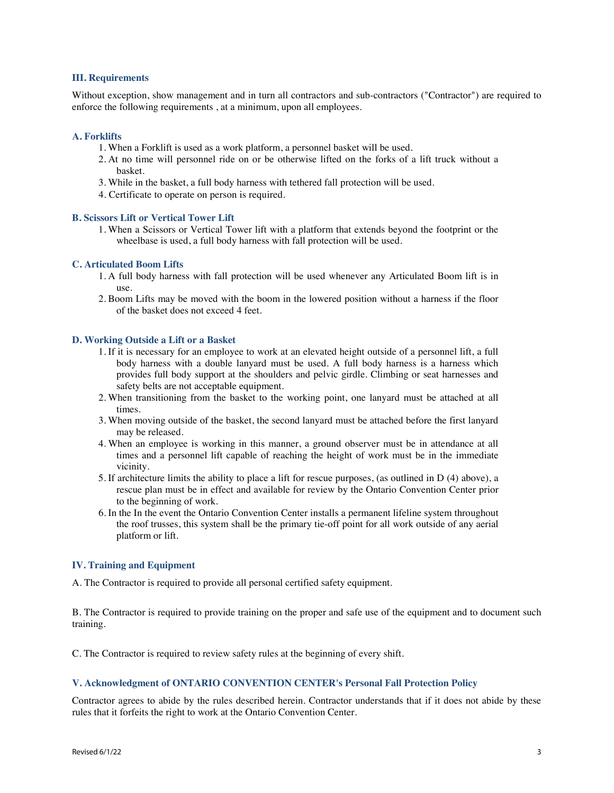## **III. Requirements**

Without exception, show management and in turn all contractors and sub-contractors ("Contractor") are required to enforce the following requirements , at a minimum, upon all employees.

#### **A. Forklifts**

- 1. When a Forklift is used as a work platform, a personnel basket will be used.
- 2. At no time will personnel ride on or be otherwise lifted on the forks of a lift truck without a basket.
- 3. While in the basket, a full body harness with tethered fall protection will be used.
- 4. Certificate to operate on person is required.

# **B. Scissors Lift or Vertical Tower Lift**

1. When a Scissors or Vertical Tower lift with a platform that extends beyond the footprint or the wheelbase is used, a full body harness with fall protection will be used.

#### **C. Articulated Boom Lifts**

- 1. A full body harness with fall protection will be used whenever any Articulated Boom lift is in use.
- 2. Boom Lifts may be moved with the boom in the lowered position without a harness if the floor of the basket does not exceed 4 feet.

## **D. Working Outside a Lift or a Basket**

- 1. If it is necessary for an employee to work at an elevated height outside of a personnel lift, a full body harness with a double lanyard must be used. A full body harness is a harness which provides full body support at the shoulders and pelvic girdle. Climbing or seat harnesses and safety belts are not acceptable equipment.
- 2. When transitioning from the basket to the working point, one lanyard must be attached at all times.
- 3. When moving outside of the basket, the second lanyard must be attached before the first lanyard may be released.
- 4. When an employee is working in this manner, a ground observer must be in attendance at all times and a personnel lift capable of reaching the height of work must be in the immediate vicinity.
- 5. If architecture limits the ability to place a lift for rescue purposes, (as outlined in D (4) above), a rescue plan must be in effect and available for review by the Ontario Convention Center prior to the beginning of work.
- 6. In the In the event the Ontario Convention Center installs a permanent lifeline system throughout the roof trusses, this system shall be the primary tie-off point for all work outside of any aerial platform or lift.

#### **IV. Training and Equipment**

A. The Contractor is required to provide all personal certified safety equipment.

B. The Contractor is required to provide training on the proper and safe use of the equipment and to document such training.

C. The Contractor is required to review safety rules at the beginning of every shift.

# **V. Acknowledgment of ONTARIO CONVENTION CENTER's Personal Fall Protection Policy**

Contractor agrees to abide by the rules described herein. Contractor understands that if it does not abide by these rules that it forfeits the right to work at the Ontario Convention Center.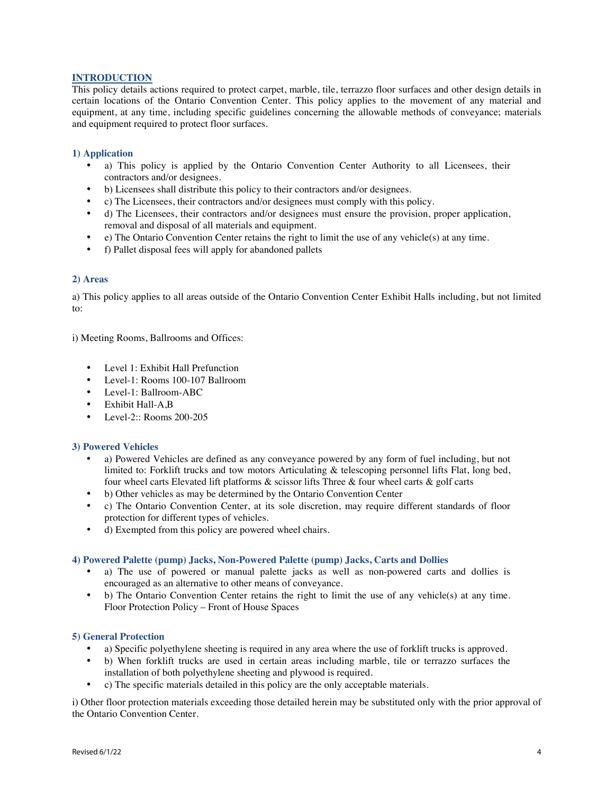# **INTRODUCTION**

This policy details actions required to protect carpet, marble, tile, terrazzo floor surfaces and other design details in certain locations of the Ontario Convention Center. This policy applies to the movement of any material and equipment, at any time, including specific guidelines concerning the allowable methods of conveyance; materials and equipment required to protect floor surfaces.

# **1) Application**

- a) This policy is applied by the Ontario Convention Center Authority to all Licensees, their contractors and/or designees.
- b) Licensees shall distribute this policy to their contractors and/or designees.
- c) The Licensees, their contractors and/or designees must comply with this policy.
- d) The Licensees, their contractors and/or designees must ensure the provision, proper application, removal and disposal of all materials and equipment.
- e) The Ontario Convention Center retains the right to limit the use of any vehicle(s) at any time.
- f) Pallet disposal fees will apply for abandoned pallets

## **2) Areas**

a) This policy applies to all areas outside of the Ontario Convention Center Exhibit Halls including, but not limited to:

i) Meeting Rooms, Ballrooms and Offices:

- Level 1: Exhibit Hall Prefunction
- Level-1: Rooms 100-107 Ballroom
- Level-1: Ballroom-ABC
- Exhibit Hall-A<sub>B</sub>
- Level-2:: Rooms 200-205

## **3) Powered Vehicles**

- a) Powered Vehicles are defined as any conveyance powered by any form of fuel including, but not limited to: Forklift trucks and tow motors Articulating & telescoping personnel lifts Flat, long bed, four wheel carts Elevated lift platforms & scissor lifts Three & four wheel carts & golf carts
- b) Other vehicles as may be determined by the Ontario Convention Center
- c) The Ontario Convention Center, at its sole discretion, may require different standards of floor protection for different types of vehicles.
- d) Exempted from this policy are powered wheel chairs.

## **4) Powered Palette (pump) Jacks, Non-Powered Palette (pump) Jacks, Carts and Dollies**

- a) The use of powered or manual palette jacks as well as non-powered carts and dollies is encouraged as an alternative to other means of conveyance.
- b) The Ontario Convention Center retains the right to limit the use of any vehicle(s) at any time. Floor Protection Policy – Front of House Spaces

## **5) General Protection**

- a) Specific polyethylene sheeting is required in any area where the use of forklift trucks is approved.
- b) When forklift trucks are used in certain areas including marble, tile or terrazzo surfaces the installation of both polyethylene sheeting and plywood is required.
- c) The specific materials detailed in this policy are the only acceptable materials.

i) Other floor protection materials exceeding those detailed herein may be substituted only with the prior approval of the Ontario Convention Center.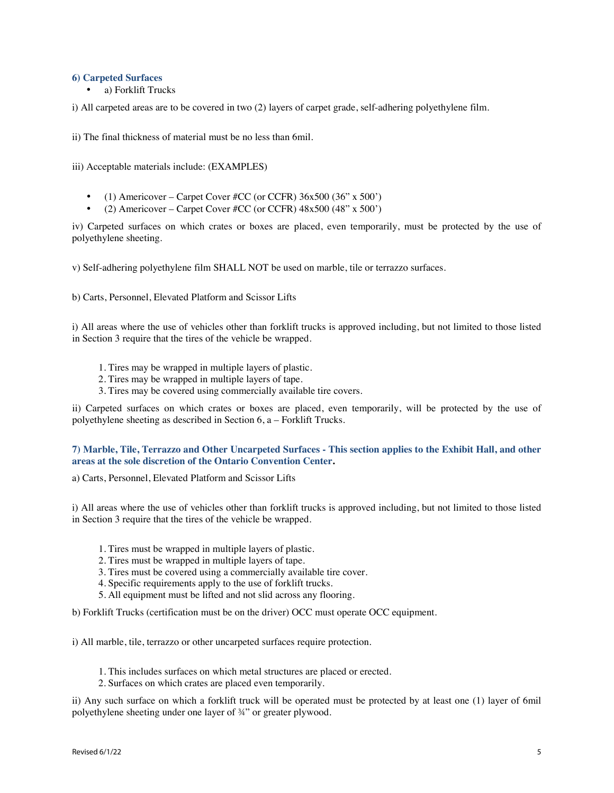#### **6) Carpeted Surfaces**

• a) Forklift Trucks

i) All carpeted areas are to be covered in two (2) layers of carpet grade, self-adhering polyethylene film.

ii) The final thickness of material must be no less than 6mil.

iii) Acceptable materials include: (EXAMPLES)

- (1) Americover Carpet Cover #CC (or CCFR)  $36x500 (36" x 500')$
- (2) Americover Carpet Cover #CC (or CCFR)  $48x500 (48" x 500')$

iv) Carpeted surfaces on which crates or boxes are placed, even temporarily, must be protected by the use of polyethylene sheeting.

v) Self-adhering polyethylene film SHALL NOT be used on marble, tile or terrazzo surfaces.

b) Carts, Personnel, Elevated Platform and Scissor Lifts

i) All areas where the use of vehicles other than forklift trucks is approved including, but not limited to those listed in Section 3 require that the tires of the vehicle be wrapped.

- 1. Tires may be wrapped in multiple layers of plastic.
- 2. Tires may be wrapped in multiple layers of tape.
- 3. Tires may be covered using commercially available tire covers.

ii) Carpeted surfaces on which crates or boxes are placed, even temporarily, will be protected by the use of polyethylene sheeting as described in Section 6, a – Forklift Trucks.

## 7) Marble, Tile, Terrazzo and Other Uncarpeted Surfaces - This section applies to the Exhibit Hall, and other **areas at the sole discretion of the Ontario Convention Center.**

a) Carts, Personnel, Elevated Platform and Scissor Lifts

i) All areas where the use of vehicles other than forklift trucks is approved including, but not limited to those listed in Section 3 require that the tires of the vehicle be wrapped.

- 1. Tires must be wrapped in multiple layers of plastic.
- 2. Tires must be wrapped in multiple layers of tape.
- 3. Tires must be covered using a commercially available tire cover.
- 4. Specific requirements apply to the use of forklift trucks.
- 5. All equipment must be lifted and not slid across any flooring.

b) Forklift Trucks (certification must be on the driver) OCC must operate OCC equipment.

i) All marble, tile, terrazzo or other uncarpeted surfaces require protection.

1. This includes surfaces on which metal structures are placed or erected.

2. Surfaces on which crates are placed even temporarily.

ii) Any such surface on which a forklift truck will be operated must be protected by at least one (1) layer of 6mil polyethylene sheeting under one layer of ¾" or greater plywood.